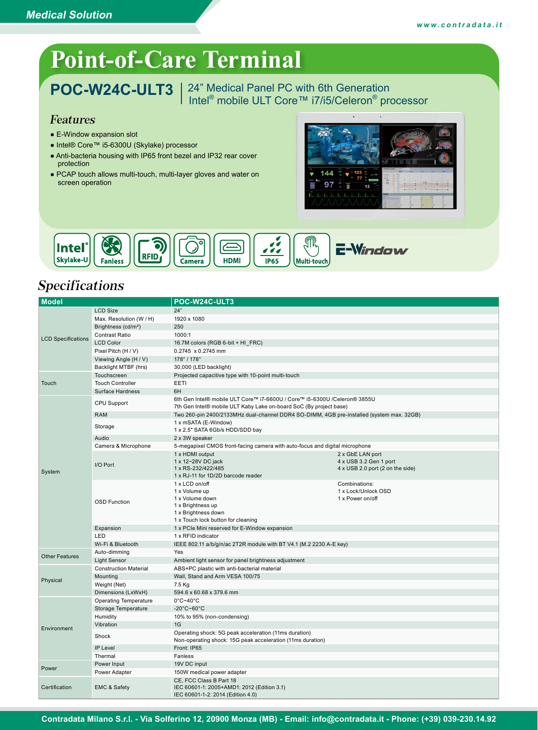# **Point-of-Care Terminal**

POC-W24C-ULT3 | 24" Medical Panel PC with 6th Generation Intel<sup>®</sup> mobile ULT Core™ i7/i5/Celeron<sup>®</sup> processor

#### Features

- E-Window expansion slot
- Intel® Core™ i5-6300U (Skylake) processor
- Anti-bacteria housing with IP65 front bezel and IP32 rear cover protection
- PCAP touch allows multi-touch, multi-layer gloves and water on screen operation





#### Specifications

| <b>Model</b>              |                                 | POC-W24C-ULT3                                                                                                                                   |                                      |  |  |  |
|---------------------------|---------------------------------|-------------------------------------------------------------------------------------------------------------------------------------------------|--------------------------------------|--|--|--|
|                           | <b>LCD Size</b>                 | 24"                                                                                                                                             |                                      |  |  |  |
|                           | Max. Resolution (W / H)         | 1920 x 1080                                                                                                                                     |                                      |  |  |  |
|                           | Brightness (cd/m <sup>2</sup> ) | 250                                                                                                                                             |                                      |  |  |  |
|                           | <b>Contrast Ratio</b>           | 1000:1                                                                                                                                          |                                      |  |  |  |
| <b>LCD Specifications</b> | <b>LCD Color</b>                | 16.7M colors (RGB 6-bit + HI FRC)                                                                                                               |                                      |  |  |  |
|                           | Pixel Pitch (H / V)             | 0.2745 x 0.2745 mm                                                                                                                              |                                      |  |  |  |
|                           | Viewing Angle (H / V)           | 178°/178°                                                                                                                                       |                                      |  |  |  |
|                           | Backlight MTBF (hrs)            | 30,000 (LED backlight)                                                                                                                          |                                      |  |  |  |
|                           | Touchscreen                     | Projected capacitive type with 10-point multi-touch                                                                                             |                                      |  |  |  |
| Touch                     | <b>Touch Controller</b>         | EETI                                                                                                                                            |                                      |  |  |  |
|                           | <b>Surface Hardness</b>         | 6H                                                                                                                                              |                                      |  |  |  |
|                           | CPU Support                     | 6th Gen Intel® mobile ULT Core™ i7-6600U / Core™ i5-6300U /Celeron® 3855U<br>7th Gen Intel® mobile ULT Kaby Lake on-board SoC (By project base) |                                      |  |  |  |
|                           | <b>RAM</b>                      | Two 260-pin 2400/2133MHz dual-channel DDR4 SO-DIMM, 4GB pre-installed (system max. 32GB)                                                        |                                      |  |  |  |
|                           | Storage                         | 1 x mSATA (E-Window)<br>1 x 2.5" SATA 6Gb/s HDD/SDD bay                                                                                         |                                      |  |  |  |
|                           | Audio                           | 2 x 3W speaker                                                                                                                                  |                                      |  |  |  |
|                           | Camera & Microphone             | 5-megapixel CMOS front-facing camera with auto-focus and digital microphone                                                                     |                                      |  |  |  |
|                           |                                 | 1 x HDMI output                                                                                                                                 | 2 x GbE LAN port                     |  |  |  |
|                           | I/O Port                        | 1 x 12~28V DC jack                                                                                                                              | 4 x USB 3.2 Gen 1 port               |  |  |  |
| System                    |                                 | 1 x RS-232/422/485                                                                                                                              | 4 x USB 2.0 port (2 on the side)     |  |  |  |
|                           |                                 | 1 x RJ-11 for 1D/2D barcode reader                                                                                                              |                                      |  |  |  |
|                           |                                 | 1 x LCD on/off                                                                                                                                  | Combinations:<br>1 x Lock/Unlock OSD |  |  |  |
|                           | <b>OSD Function</b>             | 1 x Volume up<br>1 x Volume down                                                                                                                | 1 x Power on/off                     |  |  |  |
|                           |                                 | 1 x Brightness up                                                                                                                               |                                      |  |  |  |
|                           |                                 | 1 x Brightness down                                                                                                                             |                                      |  |  |  |
|                           |                                 | 1 x Touch lock button for cleaning                                                                                                              |                                      |  |  |  |
|                           | Expansion                       | 1 x PCIe Mini reserved for E-Window expansion                                                                                                   |                                      |  |  |  |
|                           | LED                             | 1 x RFID indicator                                                                                                                              |                                      |  |  |  |
|                           | Wi-Fi & Bluetooth               | IEEE 802.11 a/b/g/n/ac 2T2R module with BT V4.1 (M.2 2230 A-E key)                                                                              |                                      |  |  |  |
| <b>Other Features</b>     | Auto-dimming                    | Yes                                                                                                                                             |                                      |  |  |  |
|                           | <b>Light Sensor</b>             | Ambient light sensor for panel brightness adjustment                                                                                            |                                      |  |  |  |
|                           | <b>Construction Material</b>    | ABS+PC plastic with anti-bacterial material                                                                                                     |                                      |  |  |  |
| Physical                  | Mounting                        | Wall, Stand and Arm VESA 100/75                                                                                                                 |                                      |  |  |  |
|                           | Weight (Net)                    | 7.5 Kg                                                                                                                                          |                                      |  |  |  |
|                           | Dimensions (LxWxH)              | 594.6 x 60.68 x 379.6 mm                                                                                                                        |                                      |  |  |  |
|                           | <b>Operating Temperature</b>    | $0^{\circ}$ C~40 $^{\circ}$ C                                                                                                                   |                                      |  |  |  |
|                           | Storage Temperature             | $-20^{\circ}$ C~60 $^{\circ}$ C                                                                                                                 |                                      |  |  |  |
|                           | Humidity                        | 10% to 95% (non-condensing)                                                                                                                     |                                      |  |  |  |
| Environment               | Vibration                       | 1G                                                                                                                                              |                                      |  |  |  |
|                           | Shock                           | Operating shock: 5G peak acceleration (11ms duration)<br>Non-operating shock: 15G peak acceleration (11ms duration)                             |                                      |  |  |  |
|                           | IP Level                        | Front: IP65                                                                                                                                     |                                      |  |  |  |
|                           | Thermal                         | Fanless                                                                                                                                         |                                      |  |  |  |
| Power                     | Power Input                     | 19V DC input                                                                                                                                    |                                      |  |  |  |
|                           | Power Adapter                   | 150W medical power adapter                                                                                                                      |                                      |  |  |  |
| Certification             |                                 | CE, FCC Class B Part 18                                                                                                                         |                                      |  |  |  |
|                           | EMC & Safety                    | IEC 60601-1: 2005+AMD1: 2012 (Edition 3.1)<br>IEC 60601-1-2: 2014 (Edition 4.0)                                                                 |                                      |  |  |  |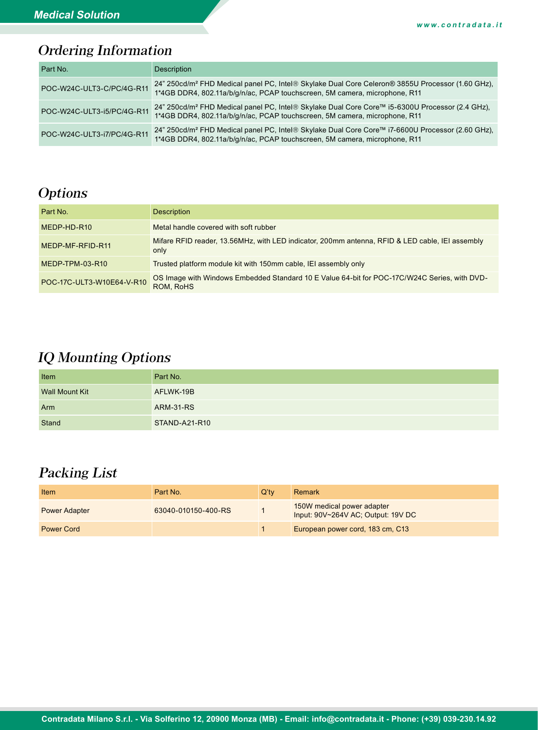## Ordering Information

| Part No.                   | Description                                                                                                                                                                                |
|----------------------------|--------------------------------------------------------------------------------------------------------------------------------------------------------------------------------------------|
| POC-W24C-ULT3-C/PC/4G-R11  | 24" 250cd/m <sup>2</sup> FHD Medical panel PC, Intel® Skylake Dual Core Celeron® 3855U Processor (1.60 GHz),<br>1*4GB DDR4, 802.11a/b/g/n/ac, PCAP touchscreen, 5M camera, microphone, R11 |
| POC-W24C-ULT3-i5/PC/4G-R11 | 24" 250cd/m <sup>2</sup> FHD Medical panel PC, Intel® Skylake Dual Core Core™ i5-6300U Processor (2.4 GHz),<br>1*4GB DDR4, 802.11a/b/g/n/ac, PCAP touchscreen, 5M camera, microphone, R11  |
| POC-W24C-ULT3-i7/PC/4G-R11 | 24" 250cd/m <sup>2</sup> FHD Medical panel PC, Intel® Skylake Dual Core Core™ i7-6600U Processor (2.60 GHz),<br>1*4GB DDR4, 802.11a/b/g/n/ac, PCAP touchscreen, 5M camera, microphone, R11 |

### **Options**

| Part No.                  | <b>Description</b>                                                                                        |
|---------------------------|-----------------------------------------------------------------------------------------------------------|
| MEDP-HD-R10               | Metal handle covered with soft rubber                                                                     |
| MEDP-MF-RFID-R11          | Mifare RFID reader, 13.56MHz, with LED indicator, 200mm antenna, RFID & LED cable, IEI assembly<br>only   |
| MEDP-TPM-03-R10           | Trusted platform module kit with 150mm cable, IEI assembly only                                           |
| POC-17C-ULT3-W10E64-V-R10 | OS Image with Windows Embedded Standard 10 E Value 64-bit for POC-17C/W24C Series, with DVD-<br>ROM, RoHS |

### IQ Mounting Options

| Item                  | Part No.         |
|-----------------------|------------------|
| <b>Wall Mount Kit</b> | AFLWK-19B        |
| Arm                   | <b>ARM-31-RS</b> |
| <b>Stand</b>          | STAND-A21-R10    |

#### Packing List

| <b>Item</b>          | Part No.            | $Q'$ tv | Remark                                                           |
|----------------------|---------------------|---------|------------------------------------------------------------------|
| <b>Power Adapter</b> | 63040-010150-400-RS |         | 150W medical power adapter<br>Input: 90V~264V AC; Output: 19V DC |
| <b>Power Cord</b>    |                     |         | European power cord, 183 cm, C13                                 |